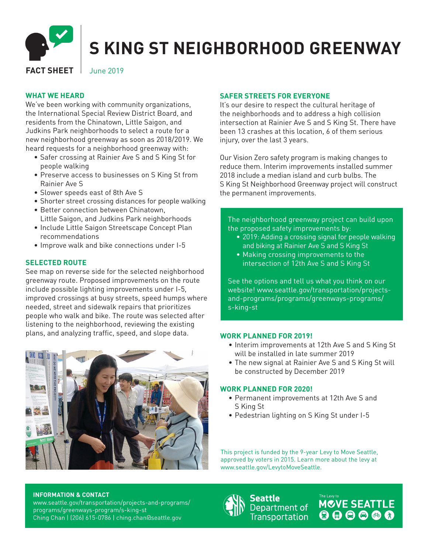

# **S KING ST NEIGHBORHOOD GREENWAY**

# **FACT SHEET** June 2019

# **WHAT WE HEARD**

We've been working with community organizations, the International Special Review District Board, and residents from the Chinatown, Little Saigon, and Judkins Park neighborhoods to select a route for a new neighborhood greenway as soon as 2018/2019. We heard requests for a neighborhood greenway with:

- Safer crossing at Rainier Ave S and S King St for people walking
- Preserve access to businesses on S King St from Rainier Ave S
- Slower speeds east of 8th Ave S
- Shorter street crossing distances for people walking
- Better connection between Chinatown, Little Saigon, and Judkins Park neighborhoods
- Include Little Saigon Streetscape Concept Plan recommendations
- Improve walk and bike connections under I-5

# **SELECTED ROUTE**

See map on reverse side for the selected neighborhood greenway route. Proposed improvements on the route include possible lighting improvements under I-5, improved crossings at busy streets, speed humps where needed, street and sidewalk repairs that prioritizes people who walk and bike. The route was selected after listening to the neighborhood, reviewing the existing plans, and analyzing traffic, speed, and slope data.



# **SAFER STREETS FOR EVERYONE**

It's our desire to respect the cultural heritage of the neighborhoods and to address a high collision intersection at Rainier Ave S and S King St. There have been 13 crashes at this location, 6 of them serious injury, over the last 3 years.

Our Vision Zero safety program is making changes to reduce them. Interim improvements installed summer 2018 include a median island and curb bulbs. The S King St Neighborhood Greenway project will construct the permanent improvements.

## The neighborhood greenway project can build upon the proposed safety improvements by:

- 2019: Adding a crossing signal for people walking and biking at Rainier Ave S and S King St
- Making crossing improvements to the intersection of 12th Ave S and S King St

See the options and tell us what you think on our website! www.seattle.gov/transportation/projectsand-programs/programs/greenways-programs/ s-king-st

#### **WORK PLANNED FOR 2019!**

- Interim improvements at 12th Ave S and S King St will be installed in late summer 2019
- The new signal at Rainier Ave S and S King St will be constructed by December 2019

### **WORK PLANNED FOR 2020!**

- Permanent improvements at 12th Ave S and S King St
- Pedestrian lighting on S King St under I-5

This project is funded by the 9-year Levy to Move Seattle, approved by voters in 2015. Learn more about the levy at www.seattle.gov/LevytoMoveSeattle.

#### **INFORMATION & CONTACT**

www.seattle.gov/transportation/projects-and-programs/ programs/greenways-program/s-king-st Ching Chan | (206) 615-0786 | ching.chan@seattle.gov



Seattle Department of **Transportation** 

**MOVE SEATTLE<br>© © © © ©**